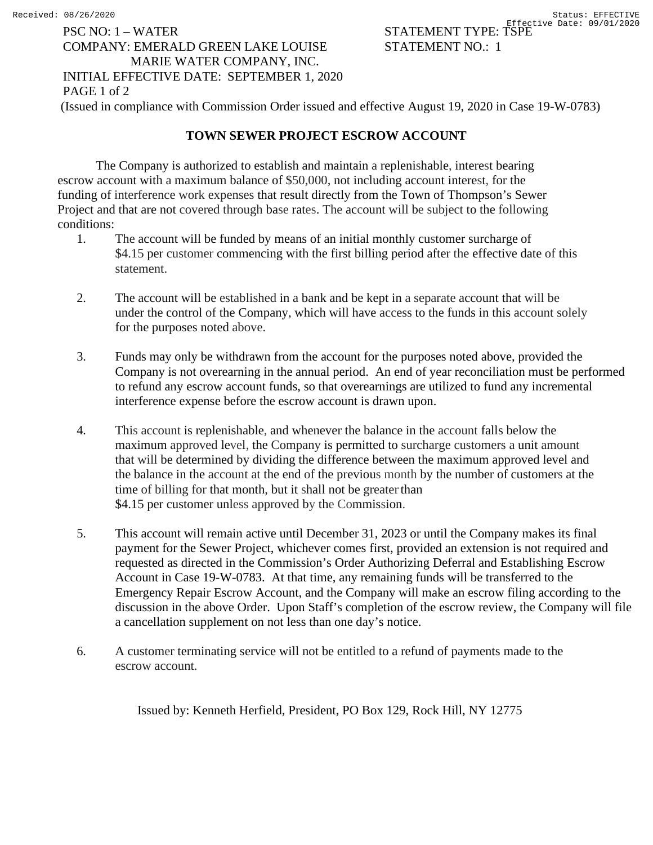## PSC NO: 1 – WATER STATEMENT TYPE: TSPE COMPANY: EMERALD GREEN LAKE LOUISE STATEMENT NO.: 1 MARIE WATER COMPANY, INC. INITIAL EFFECTIVE DATE: SEPTEMBER 1, 2020

PAGE 1 of 2

(Issued in compliance with Commission Order issued and effective August 19, 2020 in Case 19-W-0783)

## **TOWN SEWER PROJECT ESCROW ACCOUNT**

The Company is authorized to establish and maintain a replenishable, interest bearing escrow account with a maximum balance of \$50,000, not including account interest, for the funding of interference work expenses that result directly from the Town of Thompson's Sewer Project and that are not covered through base rates. The account will be subject to the following conditions:

- 1. The account will be funded by means of an initial monthly customer surcharge of \$4.15 per customer commencing with the first billing period after the effective date of this statement.
- 2. The account will be established in a bank and be kept in a separate account that will be under the control of the Company, which will have access to the funds in this account solely for the purposes noted above.
- 3. Funds may only be withdrawn from the account for the purposes noted above, provided the Company is not overearning in the annual period. An end of year reconciliation must be performed to refund any escrow account funds, so that overearnings are utilized to fund any incremental interference expense before the escrow account is drawn upon.
- 4. This account is replenishable, and whenever the balance in the account falls below the maximum approved level, the Company is permitted to surcharge customers a unit amount that will be determined by dividing the difference between the maximum approved level and the balance in the account at the end of the previous month by the number of customers at the time of billing for that month, but it shall not be greater than \$4.15 per customer unless approved by the Commission.
- 5. This account will remain active until December 31, 2023 or until the Company makes its final payment for the Sewer Project, whichever comes first, provided an extension is not required and requested as directed in the Commission's Order Authorizing Deferral and Establishing Escrow Account in Case 19-W-0783. At that time, any remaining funds will be transferred to the Emergency Repair Escrow Account, and the Company will make an escrow filing according to the discussion in the above Order. Upon Staff's completion of the escrow review, the Company will file a cancellation supplement on not less than one day's notice.
- 6. A customer terminating service will not be entitled to a refund of payments made to the escrow account.

Issued by: Kenneth Herfield, President, PO Box 129, Rock Hill, NY 12775